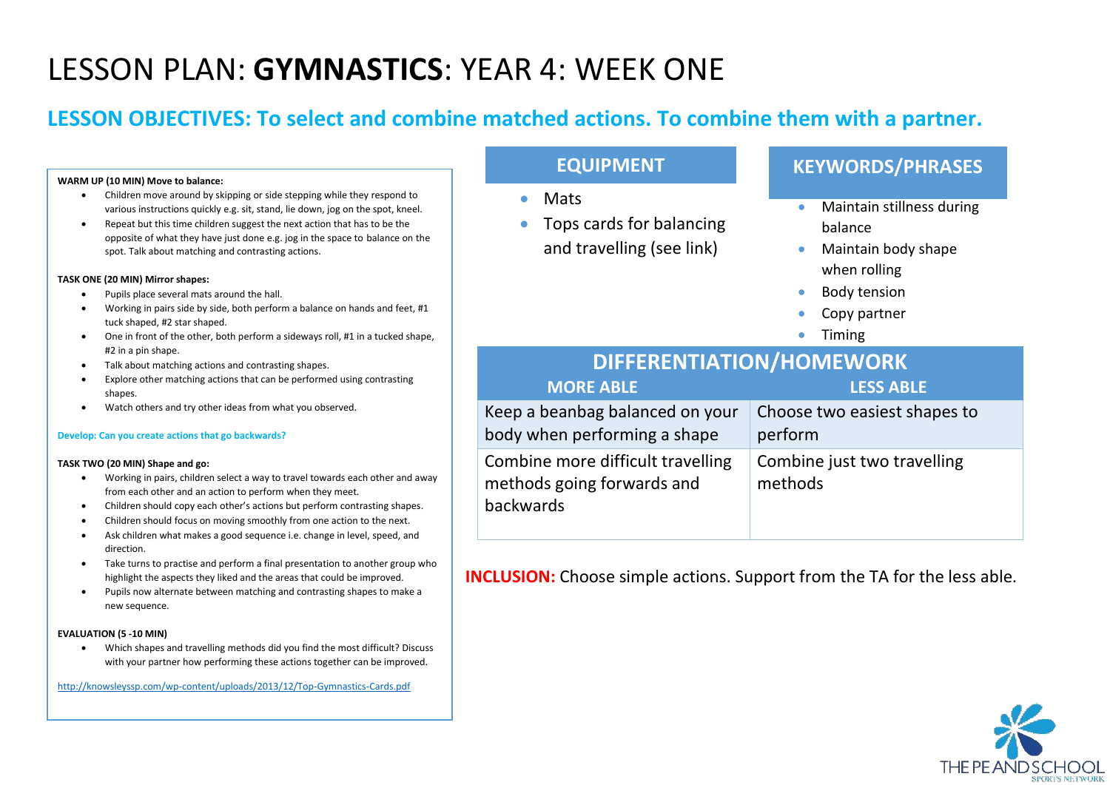# LESSON PLAN: **GYMNASTICS**: YEAR 4: WEEK ONE

## **LESSON OBJECTIVES: To select and combine matched actions. To combine them with a partner.**

#### **WARM UP (10 MIN) Move to balance:**

- Children move around by skipping or side stepping while they respond to various instructions quickly e.g. sit, stand, lie down, jog on the spot, kneel.
- Repeat but this time children suggest the next action that has to be the opposite of what they have just done e.g. jog in the space to balance on the spot. Talk about matching and contrasting actions.

#### **TASK ONE (20 MIN) Mirror shapes:**

- Pupils place several mats around the hall.
- Working in pairs side by side, both perform a balance on hands and feet, #1 tuck shaped, #2 star shaped.
- One in front of the other, both perform a sideways roll, #1 in a tucked shape, #2 in a pin shape.
- Talk about matching actions and contrasting shapes.
- Explore other matching actions that can be performed using contrasting shapes.
- Watch others and try other ideas from what you observed.

#### **Develop: Can you create actions that go backwards?**

#### **TASK TWO (20 MIN) Shape and go:**

- Working in pairs, children select a way to travel towards each other and away from each other and an action to perform when they meet.
- Children should copy each other's actions but perform contrasting shapes.
- Children should focus on moving smoothly from one action to the next.
- Ask children what makes a good sequence i.e. change in level, speed, and direction.
- Take turns to practise and perform a final presentation to another group who highlight the aspects they liked and the areas that could be improved.
- Pupils now alternate between matching and contrasting shapes to make a new sequence.

#### **EVALUATION (5 -10 MIN)**

• Which shapes and travelling methods did you find the most difficult? Discuss with your partner how performing these actions together can be improved.

<http://knowsleyssp.com/wp-content/uploads/2013/12/Top-Gymnastics-Cards.pdf>

### **EQUIPMENT**

- Mats
- Tops cards for balancing and travelling (see link)

### **KEYWORDS/PHRASES**

- Maintain stillness during balance
- Maintain body shape when rolling
- Body tension
- Copy partner
- Timing

| <b>DIFFERENTIATION/HOMEWORK</b>                                              |                                         |  |
|------------------------------------------------------------------------------|-----------------------------------------|--|
| <b>MORE ABLE</b>                                                             | <b>LESS ABLE</b>                        |  |
| Keep a beanbag balanced on your<br>body when performing a shape              | Choose two easiest shapes to<br>perform |  |
| Combine more difficult travelling<br>methods going forwards and<br>backwards | Combine just two travelling<br>methods  |  |

**INCLUSION:** Choose simple actions. Support from the TA for the less able.

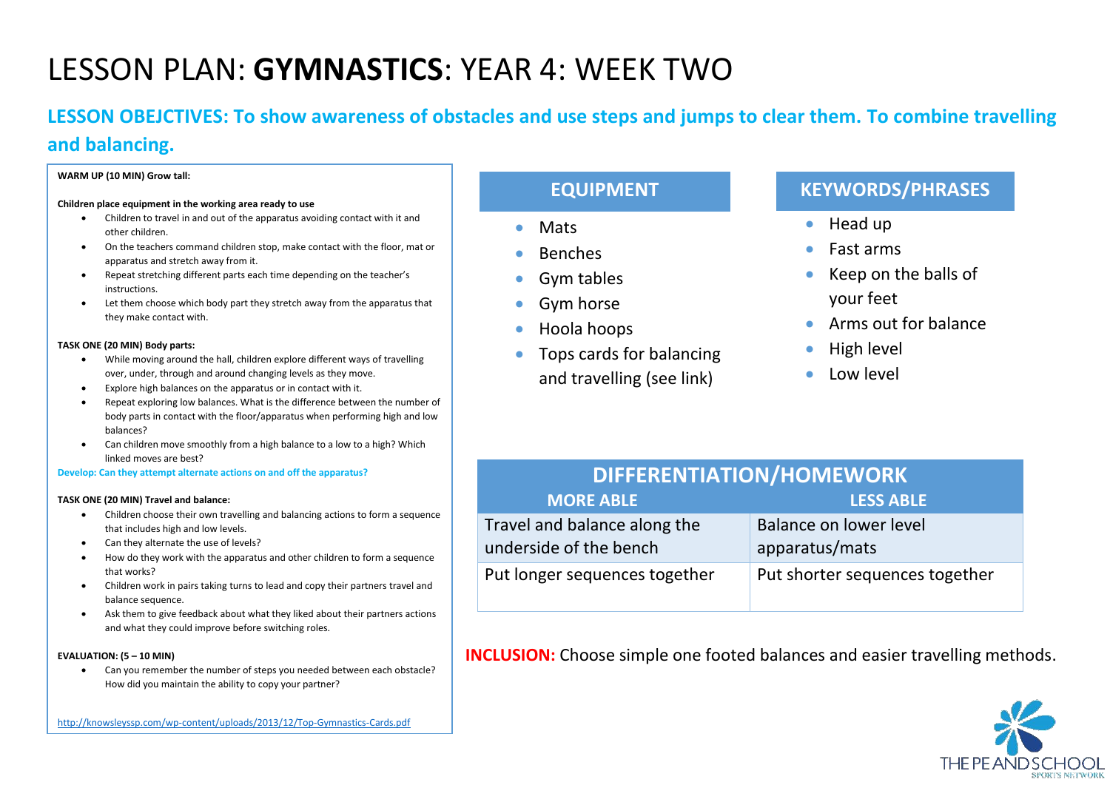# LESSON PLAN: **GYMNASTICS**: YEAR 4: WEEK TWO

## **LESSON OBEJCTIVES: To show awareness of obstacles and use steps and jumps to clear them. To combine travelling and balancing.**

#### **WARM UP (10 MIN) Grow tall:**

#### **Children place equipment in the working area ready to use**

- Children to travel in and out of the apparatus avoiding contact with it and other children.
- On the teachers command children stop, make contact with the floor, mat or apparatus and stretch away from it.
- Repeat stretching different parts each time depending on the teacher's instructions.
- Let them choose which body part they stretch away from the apparatus that they make contact with.

#### **TASK ONE (20 MIN) Body parts:**

- While moving around the hall, children explore different ways of travelling over, under, through and around changing levels as they move.
- Explore high balances on the apparatus or in contact with it.
- Repeat exploring low balances. What is the difference between the number of body parts in contact with the floor/apparatus when performing high and low balances?
- Can children move smoothly from a high balance to a low to a high? Which linked moves are best?

**Develop: Can they attempt alternate actions on and off the apparatus?**

#### **TASK ONE (20 MIN) Travel and balance:**

- Children choose their own travelling and balancing actions to form a sequence that includes high and low levels.
- Can they alternate the use of levels?
- How do they work with the apparatus and other children to form a sequence that works?
- Children work in pairs taking turns to lead and copy their partners travel and balance sequence.
- Ask them to give feedback about what they liked about their partners actions and what they could improve before switching roles.

#### **EVALUATION: (5 – 10 MIN)**

• Can you remember the number of steps you needed between each obstacle? How did you maintain the ability to copy your partner?

#### <http://knowsleyssp.com/wp-content/uploads/2013/12/Top-Gymnastics-Cards.pdf>

## **EQUIPMENT**

- Mats
- **Benches**
- Gym tables
- Gym horse
- Hoola hoops
	- Tops cards for balancing and travelling (see link)

## **KEYWORDS/PHRASES**

- Head up
- Fast arms
- Keep on the balls of your feet
- Arms out for balance
- High level
- Low level

| <b>DIFFERENTIATION/HOMEWORK</b>                        |                                          |  |
|--------------------------------------------------------|------------------------------------------|--|
| <b>MORE ABLE</b>                                       | <b>LESS ABLE</b>                         |  |
| Travel and balance along the<br>underside of the bench | Balance on lower level<br>apparatus/mats |  |
| Put longer sequences together                          | Put shorter sequences together           |  |

**INCLUSION:** Choose simple one footed balances and easier travelling methods.

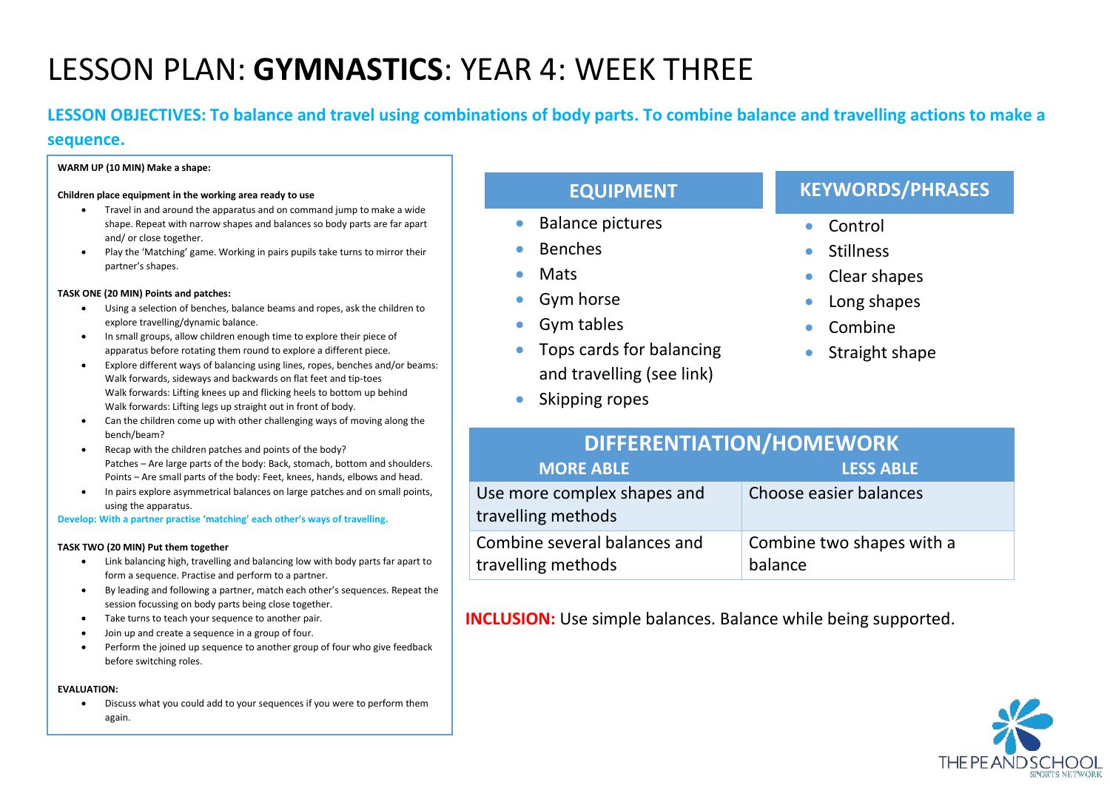# LESSON PLAN: **GYMNASTICS**: YEAR 4: WEEK THREE

**LESSON OBJECTIVES: To balance and travel using combinations of body parts. To combine balance and travelling actions to make a** 

#### **sequence.**

#### **WARM UP (10 MIN) Make a shape:**

#### **Children place equipment in the working area ready to use**

- Travel in and around the apparatus and on command jump to make a wide shape. Repeat with narrow shapes and balances so body parts are far apart and/ or close together.
- Play the 'Matching' game. Working in pairs pupils take turns to mirror their partner's shapes.

#### **TASK ONE (20 MIN) Points and patches:**

- Using a selection of benches, balance beams and ropes, ask the children to explore travelling/dynamic balance.
- In small groups, allow children enough time to explore their piece of apparatus before rotating them round to explore a different piece.
- Explore different ways of balancing using lines, ropes, benches and/or beams: Walk forwards, sideways and backwards on flat feet and tip-toes Walk forwards: Lifting knees up and flicking heels to bottom up behind Walk forwards: Lifting legs up straight out in front of body.
- Can the children come up with other challenging ways of moving along the bench/beam?
- Recap with the children patches and points of the body? Patches – Are large parts of the body: Back, stomach, bottom and shoulders. Points – Are small parts of the body: Feet, knees, hands, elbows and head.
- In pairs explore asymmetrical balances on large patches and on small points, using the apparatus.

**Develop: With a partner practise 'matching' each other's ways of travelling.**

#### **TASK TWO (20 MIN) Put them together**

- Link balancing high, travelling and balancing low with body parts far apart to form a sequence. Practise and perform to a partner.
- By leading and following a partner, match each other's sequences. Repeat the session focussing on body parts being close together.
- Take turns to teach your sequence to another pair.
- Join up and create a sequence in a group of four.
- Perform the joined up sequence to another group of four who give feedback before switching roles.

#### **EVALUATION:**

• Discuss what you could add to your sequences if you were to perform them again.

| <b>EQUIPMENT</b>                                                   | <b>KEYWORDS/PHRASES</b> |
|--------------------------------------------------------------------|-------------------------|
| <b>Balance pictures</b><br>$\bullet$                               | Control                 |
| <b>Benches</b><br>$\bullet$                                        | <b>Stillness</b>        |
| Mats<br>$\bullet$                                                  | Clear shapes            |
| Gym horse<br>$\bullet$                                             | Long shapes             |
| Gym tables<br>$\bullet$                                            | Combine                 |
| Tops cards for balancing<br>$\bullet$<br>and travelling (see link) | Straight shape          |
| Skipping ropes<br>$\bullet$                                        |                         |

| <b>DIFFERENTIATION/HOMEWORK</b>                    |                                      |  |
|----------------------------------------------------|--------------------------------------|--|
| <b>MORE ABLE</b>                                   | <b>LESS ABLE</b>                     |  |
| Use more complex shapes and<br>travelling methods  | Choose easier balances               |  |
| Combine several balances and<br>travelling methods | Combine two shapes with a<br>balance |  |

**INCLUSION:** Use simple balances. Balance while being supported.

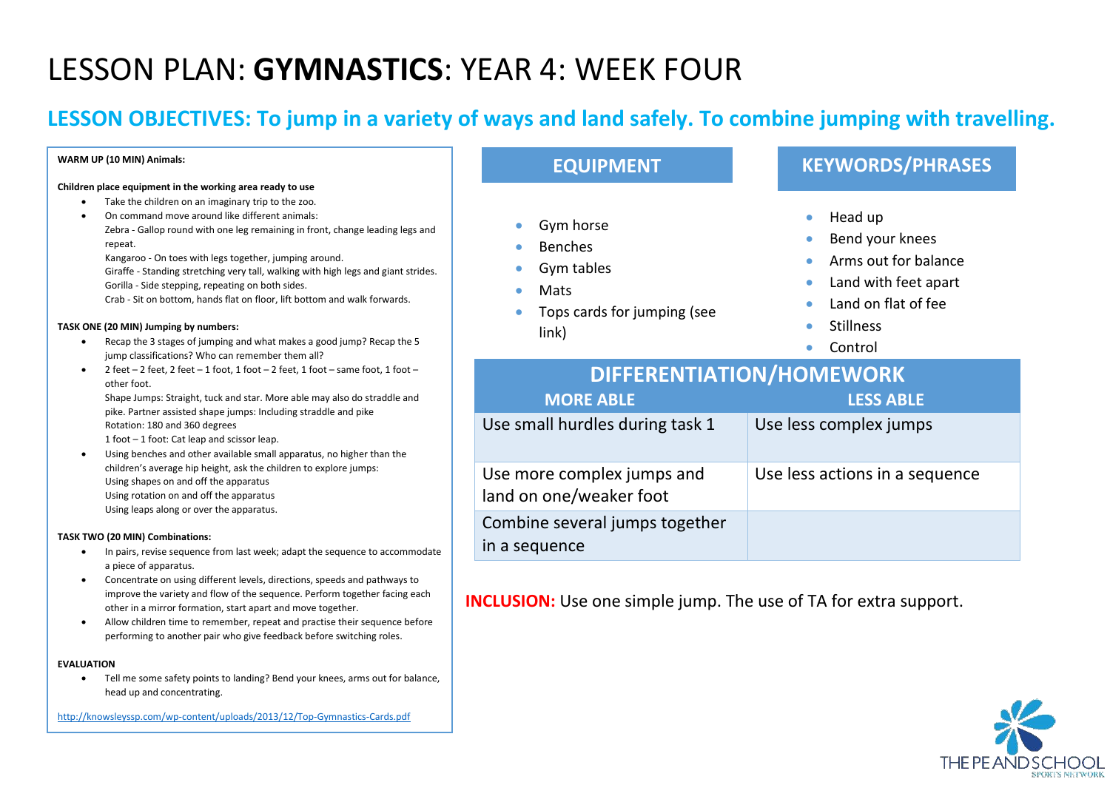# LESSON PLAN: **GYMNASTICS**: YEAR 4: WEEK FOUR

## **LESSON OBJECTIVES: To jump in a variety of ways and land safely. To combine jumping with travelling.**

#### **WARM UP (10 MIN) Animals:**

#### **Children place equipment in the working area ready to use**

- Take the children on an imaginary trip to the zoo.
- On command move around like different animals: Zebra - Gallop round with one leg remaining in front, change leading legs and repeat.

Kangaroo - On toes with legs together, jumping around.

Giraffe - Standing stretching very tall, walking with high legs and giant strides. Gorilla - Side stepping, repeating on both sides.

Crab - Sit on bottom, hands flat on floor, lift bottom and walk forwards.

#### **TASK ONE (20 MIN) Jumping by numbers:**

- Recap the 3 stages of jumping and what makes a good jump? Recap the 5 jump classifications? Who can remember them all?
- 2 feet 2 feet, 2 feet 1 foot, 1 foot 2 feet, 1 foot same foot, 1 foot other foot.

Shape Jumps: Straight, tuck and star. More able may also do straddle and pike. Partner assisted shape jumps: Including straddle and pike Rotation: 180 and 360 degrees

1 foot – 1 foot: Cat leap and scissor leap.

• Using benches and other available small apparatus, no higher than the children's average hip height, ask the children to explore jumps: Using shapes on and off the apparatus Using rotation on and off the apparatus Using leaps along or over the apparatus.

#### **TASK TWO (20 MIN) Combinations:**

- In pairs, revise sequence from last week; adapt the sequence to accommodate a piece of apparatus.
- Concentrate on using different levels, directions, speeds and pathways to improve the variety and flow of the sequence. Perform together facing each other in a mirror formation, start apart and move together.
- Allow children time to remember, repeat and practise their sequence before performing to another pair who give feedback before switching roles.

#### **EVALUATION**

• Tell me some safety points to landing? Bend your knees, arms out for balance, head up and concentrating.

<http://knowsleyssp.com/wp-content/uploads/2013/12/Top-Gymnastics-Cards.pdf>

## **EQUIPMENT**

- Gym horse
- Benches
- Gym tables
- Mats
- Tops cards for jumping (see

### link)

## **KEYWORDS/PHRASES**

- Head up
- Bend your knees
- Arms out for balance
- Land with feet apart
- Land on flat of fee
- Stillness
- Control

| <b>DIFFERENTIATION/HOMEWORK</b>                       |                                |  |
|-------------------------------------------------------|--------------------------------|--|
| <b>MORE ABLE</b>                                      | <b>LESS ABLE</b>               |  |
| Use small hurdles during task 1                       | Use less complex jumps         |  |
| Use more complex jumps and<br>land on one/weaker foot | Use less actions in a sequence |  |
| Combine several jumps together<br>in a sequence       |                                |  |

**INCLUSION:** Use one simple jump. The use of TA for extra support.

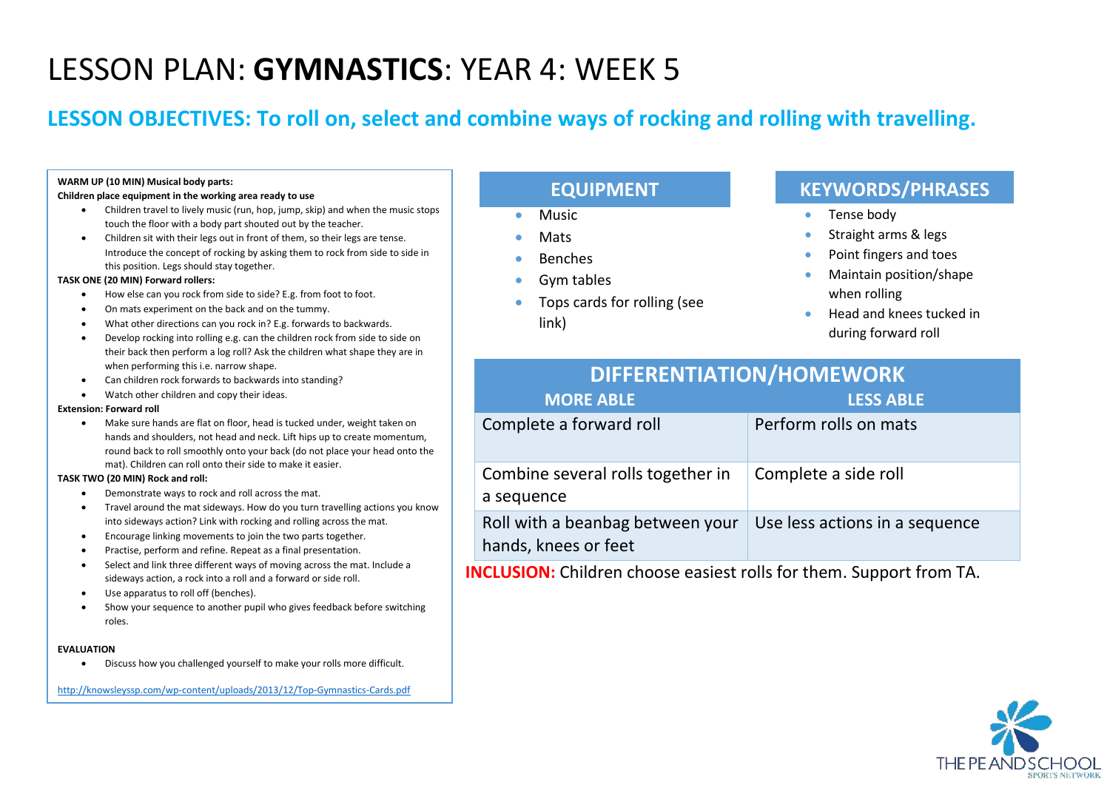# LESSON PLAN: **GYMNASTICS**: YEAR 4: WEEK 5

## **LESSON OBJECTIVES: To roll on, select and combine ways of rocking and rolling with travelling.**

#### **WARM UP (10 MIN) Musical body parts:**

#### **Children place equipment in the working area ready to use**

- Children travel to lively music (run, hop, jump, skip) and when the music stops touch the floor with a body part shouted out by the teacher.
- Children sit with their legs out in front of them, so their legs are tense. Introduce the concept of rocking by asking them to rock from side to side in this position. Legs should stay together.

#### **TASK ONE (20 MIN) Forward rollers:**

- How else can you rock from side to side? E.g. from foot to foot.
- On mats experiment on the back and on the tummy.
- What other directions can you rock in? E.g. forwards to backwards.
- Develop rocking into rolling e.g. can the children rock from side to side on their back then perform a log roll? Ask the children what shape they are in when performing this i.e. narrow shape.
- Can children rock forwards to backwards into standing?
- Watch other children and copy their ideas.

#### **Extension: Forward roll**

• Make sure hands are flat on floor, head is tucked under, weight taken on hands and shoulders, not head and neck. Lift hips up to create momentum, round back to roll smoothly onto your back (do not place your head onto the mat). Children can roll onto their side to make it easier.

#### **TASK TWO (20 MIN) Rock and roll:**

- Demonstrate ways to rock and roll across the mat.
- Travel around the mat sideways. How do you turn travelling actions you know into sideways action? Link with rocking and rolling across the mat.
- Encourage linking movements to join the two parts together.
- Practise, perform and refine. Repeat as a final presentation.
- Select and link three different ways of moving across the mat. Include a sideways action, a rock into a roll and a forward or side roll.
- Use apparatus to roll off (benches).
- Show your sequence to another pupil who gives feedback before switching roles.

#### **EVALUATION**

• Discuss how you challenged yourself to make your rolls more difficult.

<http://knowsleyssp.com/wp-content/uploads/2013/12/Top-Gymnastics-Cards.pdf>

## **EQUIPMENT**

- Music
- Mats
- Benches
- Gym tables
- Tops cards for rolling (see link)

## **KEYWORDS/PHRASES**

- Tense body
- Straight arms & legs
- Point fingers and toes
- Maintain position/shape when rolling
- Head and knees tucked in during forward roll

| <b>DIFFERENTIATION/HOMEWORK</b>                          |                                |  |
|----------------------------------------------------------|--------------------------------|--|
| <b>MORE ABLE</b>                                         | <b>LESS ABLE</b>               |  |
| Complete a forward roll                                  | Perform rolls on mats          |  |
| Combine several rolls together in<br>a sequence          | Complete a side roll           |  |
| Roll with a beanbag between your<br>hands, knees or feet | Use less actions in a sequence |  |

**INCLUSION:** Children choose easiest rolls for them. Support from TA.